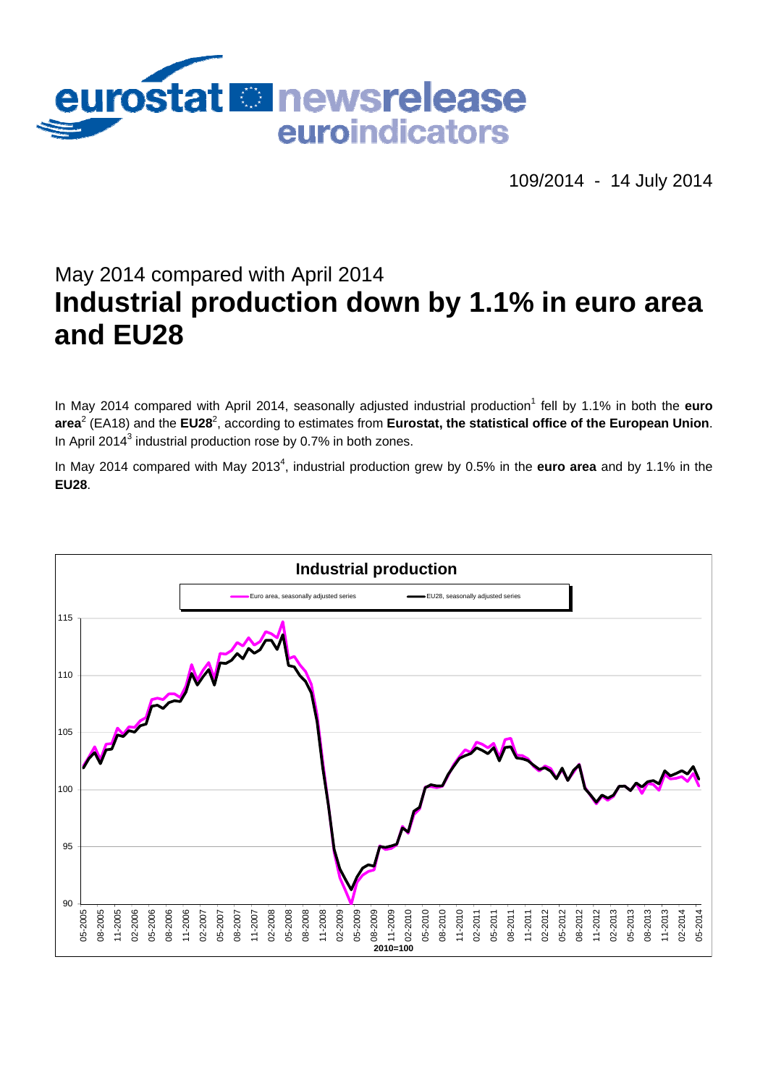

109/2014 - 14 July 2014

# May 2014 compared with April 2014 **Industrial production down by 1.1% in euro area and EU28**

In May 2014 compared with April 2014, seasonally adjusted industrial production<sup>1</sup> fell by 1.1% in both the **euro area<sup>2</sup> (EA18) and the EU28<sup>2</sup>, according to estimates from <b>Eurostat, the statistical office of the European Union**. In April 2014<sup>3</sup> industrial production rose by 0.7% in both zones.

In May 2014 compared with May 2013<sup>4</sup>, industrial production grew by 0.5% in the **euro area** and by 1.1% in the **EU28**.

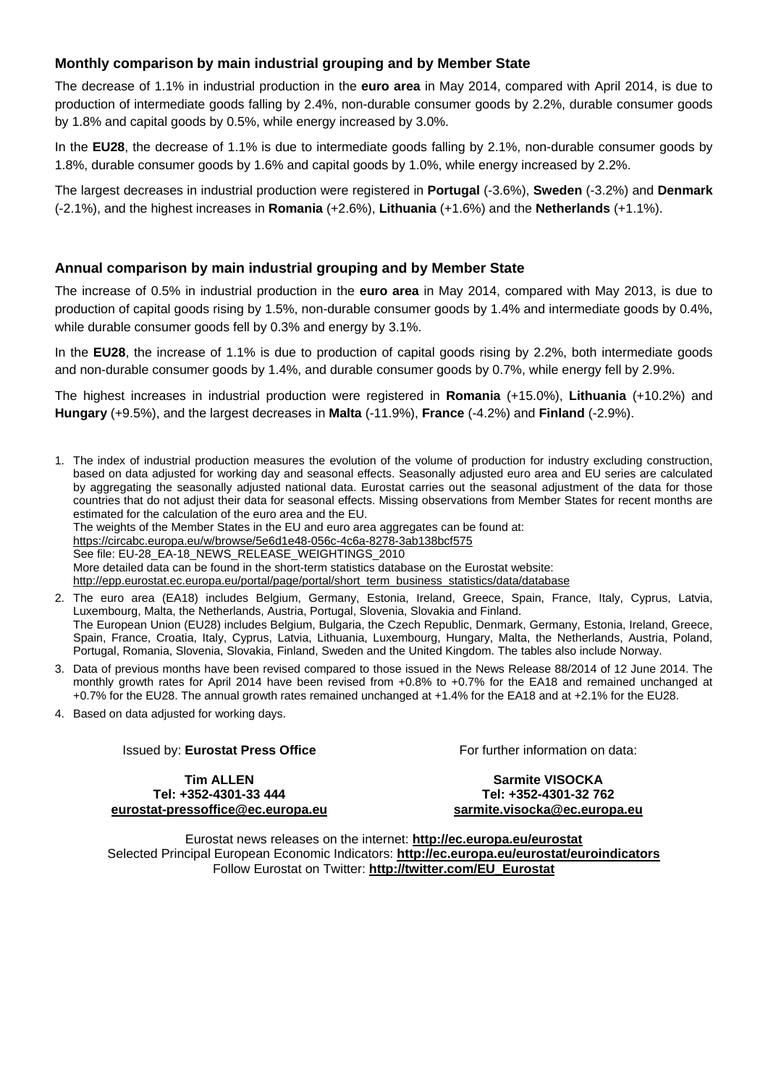## **Monthly comparison by main industrial grouping and by Member State**

The decrease of 1.1% in industrial production in the **euro area** in May 2014, compared with April 2014, is due to production of intermediate goods falling by 2.4%, non-durable consumer goods by 2.2%, durable consumer goods by 1.8% and capital goods by 0.5%, while energy increased by 3.0%.

In the **EU28**, the decrease of 1.1% is due to intermediate goods falling by 2.1%, non-durable consumer goods by 1.8%, durable consumer goods by 1.6% and capital goods by 1.0%, while energy increased by 2.2%.

The largest decreases in industrial production were registered in **Portugal** (-3.6%), **Sweden** (-3.2%) and **Denmark** (-2.1%), and the highest increases in **Romania** (+2.6%), **Lithuania** (+1.6%) and the **Netherlands** (+1.1%).

## **Annual comparison by main industrial grouping and by Member State**

The increase of 0.5% in industrial production in the **euro area** in May 2014, compared with May 2013, is due to production of capital goods rising by 1.5%, non-durable consumer goods by 1.4% and intermediate goods by 0.4%, while durable consumer goods fell by 0.3% and energy by 3.1%.

In the **EU28**, the increase of 1.1% is due to production of capital goods rising by 2.2%, both intermediate goods and non-durable consumer goods by 1.4%, and durable consumer goods by 0.7%, while energy fell by 2.9%.

The highest increases in industrial production were registered in **Romania** (+15.0%), **Lithuania** (+10.2%) and **Hungary** (+9.5%), and the largest decreases in **Malta** (-11.9%), **France** (-4.2%) and **Finland** (-2.9%).

1. The index of industrial production measures the evolution of the volume of production for industry excluding construction, based on data adjusted for working day and seasonal effects. Seasonally adjusted euro area and EU series are calculated by aggregating the seasonally adjusted national data. Eurostat carries out the seasonal adjustment of the data for those countries that do not adjust their data for seasonal effects. Missing observations from Member States for recent months are estimated for the calculation of the euro area and the EU.

The weights of the Member States in the EU and euro area aggregates can be found at:

<https://circabc.europa.eu/w/browse/5e6d1e48-056c-4c6a-8278-3ab138bcf575>

See file: EU-28\_EA-18\_NEWS\_RELEASE\_WEIGHTINGS\_2010

More detailed data can be found in the short-term statistics database on the Eurostat website:

[http://epp.eurostat.ec.europa.eu/portal/page/portal/short\\_term\\_business\\_statistics/data/database](http://epp.eurostat.ec.europa.eu/portal/page/portal/short_term_business_statistics/data/database) 

- 2. The euro area (EA18) includes Belgium, Germany, Estonia, Ireland, Greece, Spain, France, Italy, Cyprus, Latvia, Luxembourg, Malta, the Netherlands, Austria, Portugal, Slovenia, Slovakia and Finland. The European Union (EU28) includes Belgium, Bulgaria, the Czech Republic, Denmark, Germany, Estonia, Ireland, Greece, Spain, France, Croatia, Italy, Cyprus, Latvia, Lithuania, Luxembourg, Hungary, Malta, the Netherlands, Austria, Poland, Portugal, Romania, Slovenia, Slovakia, Finland, Sweden and the United Kingdom. The tables also include Norway.
- 3. Data of previous months have been revised compared to those issued in the News Release 88/2014 of 12 June 2014. The monthly growth rates for April 2014 have been revised from +0.8% to +0.7% for the EA18 and remained unchanged at +0.7% for the EU28. The annual growth rates remained unchanged at +1.4% for the EA18 and at +2.1% for the EU28.
- 4. Based on data adjusted for working days.

## Issued by: **Eurostat Press Office**

For further information on data:

**Tim ALLEN Tel: +352-4301-33 444 [eurostat-pressoffice@ec.europa.eu](mailto:eurostat-pressoffice@ec.europa.eu)** 

**Sarmite VISOCKA Tel: +352-4301-32 762 [sarmite.visocka@ec.europa.eu](mailto:sarmite.visocka@ec.europa.eu)** 

Eurostat news releases on the internet: **<http://ec.europa.eu/eurostat>** Selected Principal European Economic Indicators: **<http://ec.europa.eu/eurostat/euroindicators>** Follow Eurostat on Twitter: **[http://twitter.com/EU\\_Eurostat](http://twitter.com/EU_Eurostat)**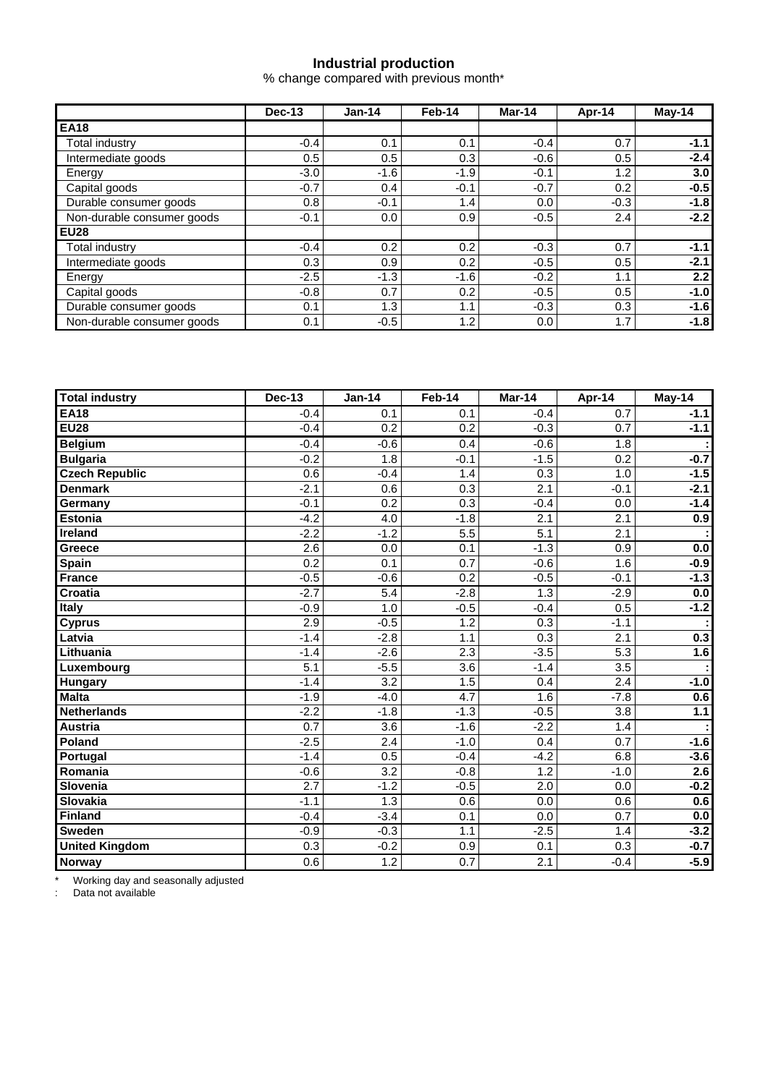## **Industrial production**

% change compared with previous month\*

|                            | Dec-13 | $Jan-14$ | Feb-14 | Mar-14 | Apr-14 | $Mav-14$         |
|----------------------------|--------|----------|--------|--------|--------|------------------|
| <b>EA18</b>                |        |          |        |        |        |                  |
| Total industry             | $-0.4$ | 0.1      | 0.1    | $-0.4$ | 0.7    | $-1.1$           |
| Intermediate goods         | 0.5    | 0.5      | 0.3    | $-0.6$ | 0.5    | $-2.4$           |
| Energy                     | $-3.0$ | $-1.6$   | $-1.9$ | $-0.1$ | 1.2    | 3.0 <sub>1</sub> |
| Capital goods              | $-0.7$ | 0.4      | $-0.1$ | $-0.7$ | 0.2    | $-0.5$           |
| Durable consumer goods     | 0.8    | $-0.1$   | 1.4    | 0.0    | $-0.3$ | $-1.8$           |
| Non-durable consumer goods | $-0.1$ | 0.0      | 0.9    | $-0.5$ | 2.4    | $-2.2$           |
| <b>EU28</b>                |        |          |        |        |        |                  |
| Total industry             | $-0.4$ | 0.2      | 0.2    | $-0.3$ | 0.7    | $-1.1$           |
| Intermediate goods         | 0.3    | 0.9      | 0.2    | $-0.5$ | 0.5    | $-2.1$           |
| Energy                     | $-2.5$ | $-1.3$   | $-1.6$ | $-0.2$ | 1.1    | 2.2              |
| Capital goods              | $-0.8$ | 0.7      | 0.2    | $-0.5$ | 0.5    | $-1.0$           |
| Durable consumer goods     | 0.1    | 1.3      | 1.1    | $-0.3$ | 0.3    | $-1.6$           |
| Non-durable consumer goods | 0.1    | $-0.5$   | 1.2    | 0.0    | 1.7    | $-1.8$           |

| <b>Total industry</b> | <b>Dec-13</b>    | <b>Jan-14</b>    | Feb-14           | Mar-14           | Apr-14           | $May-14$         |
|-----------------------|------------------|------------------|------------------|------------------|------------------|------------------|
| <b>EA18</b>           | $-0.4$           | 0.1              | 0.1              | $-0.4$           | 0.7              | $-1.1$           |
| <b>EU28</b>           | $-0.4$           | $\overline{0.2}$ | 0.2              | $-0.3$           | 0.7              | $-1.1$           |
| <b>Belgium</b>        | $-0.4$           | $-0.6$           | 0.4              | $-0.6$           | $\overline{1.8}$ |                  |
| <b>Bulgaria</b>       | $-0.2$           | 1.8              | $-0.1$           | $-1.5$           | 0.2              | $-0.7$           |
| <b>Czech Republic</b> | 0.6              | $-0.4$           | 1.4              | 0.3              | 1.0              | $-1.5$           |
| <b>Denmark</b>        | $-2.1$           | 0.6              | 0.3              | 2.1              | $-0.1$           | $-2.1$           |
| Germany               | $-0.1$           | 0.2              | 0.3              | $-0.4$           | 0.0              | $-1.4$           |
| <b>Estonia</b>        | $-4.2$           | 4.0              | $-1.8$           | 2.1              | 2.1              | 0.9              |
| <b>Ireland</b>        | $-2.2$           | $-1.2$           | 5.5              | 5.1              | 2.1              |                  |
| Greece                | 2.6              | 0.0              | 0.1              | $-1.3$           | 0.9              | 0.0              |
| Spain                 | $\overline{0.2}$ | 0.1              | $\overline{0.7}$ | $-0.6$           | 1.6              | $-0.9$           |
| <b>France</b>         | $-0.5$           | $-0.6$           | 0.2              | $-0.5$           | $-0.1$           | $-1.3$           |
| <b>Croatia</b>        | $-2.7$           | 5.4              | $-2.8$           | $\overline{1.3}$ | $-2.9$           | 0.0              |
| Italy                 | $-0.9$           | 1.0              | $-0.5$           | $-0.4$           | 0.5              | $-1.2$           |
| <b>Cyprus</b>         | 2.9              | $-0.5$           | 1.2              | 0.3              | $-1.1$           |                  |
| Latvia                | $-1.4$           | $-2.8$           | 1.1              | $\overline{0.3}$ | $\overline{2.1}$ | 0.3              |
| Lithuania             | $-1.4$           | $-2.6$           | 2.3              | $-3.5$           | $\overline{5.3}$ | 1.6              |
| Luxembourg            | 5.1              | $-5.5$           | 3.6              | $-1.4$           | 3.5              |                  |
| Hungary               | $-1.4$           | 3.2              | 1.5              | 0.4              | 2.4              | $-1.0$           |
| <b>Malta</b>          | $-1.9$           | $-4.0$           | 4.7              | 1.6              | $-7.8$           | 0.6              |
| <b>Netherlands</b>    | $-2.2$           | $-1.8$           | $-1.3$           | $-0.5$           | $\overline{3.8}$ | 1.1              |
| <b>Austria</b>        | 0.7              | 3.6              | $-1.6$           | $-2.2$           | 1.4              |                  |
| Poland                | $-2.5$           | $\overline{2.4}$ | $-1.0$           | 0.4              | 0.7              | $-1.6$           |
| Portugal              | $-1.4$           | 0.5              | $-0.4$           | $-4.2$           | 6.8              | $-3.6$           |
| Romania               | $-0.6$           | 3.2              | $-0.8$           | 1.2              | $-1.0$           | $\overline{2.6}$ |
| Slovenia              | $\overline{2.7}$ | $-1.2$           | $-0.5$           | $\overline{2.0}$ | $\overline{0.0}$ | $-0.2$           |
| Slovakia              | $-1.1$           | 1.3              | 0.6              | 0.0              | 0.6              | 0.6              |
| <b>Finland</b>        | $-0.4$           | $-3.4$           | 0.1              | 0.0              | 0.7              | $0.0\,$          |
| <b>Sweden</b>         | $-0.9$           | $-0.3$           | 1.1              | $-2.5$           | 1.4              | $-3.2$           |
| <b>United Kingdom</b> | 0.3              | $-0.2$           | 0.9              | 0.1              | 0.3              | $-0.7$           |
| Norway                | 0.6              | 1.2              | 0.7              | 2.1              | $-0.4$           | $-5.9$           |

\* Working day and seasonally adjusted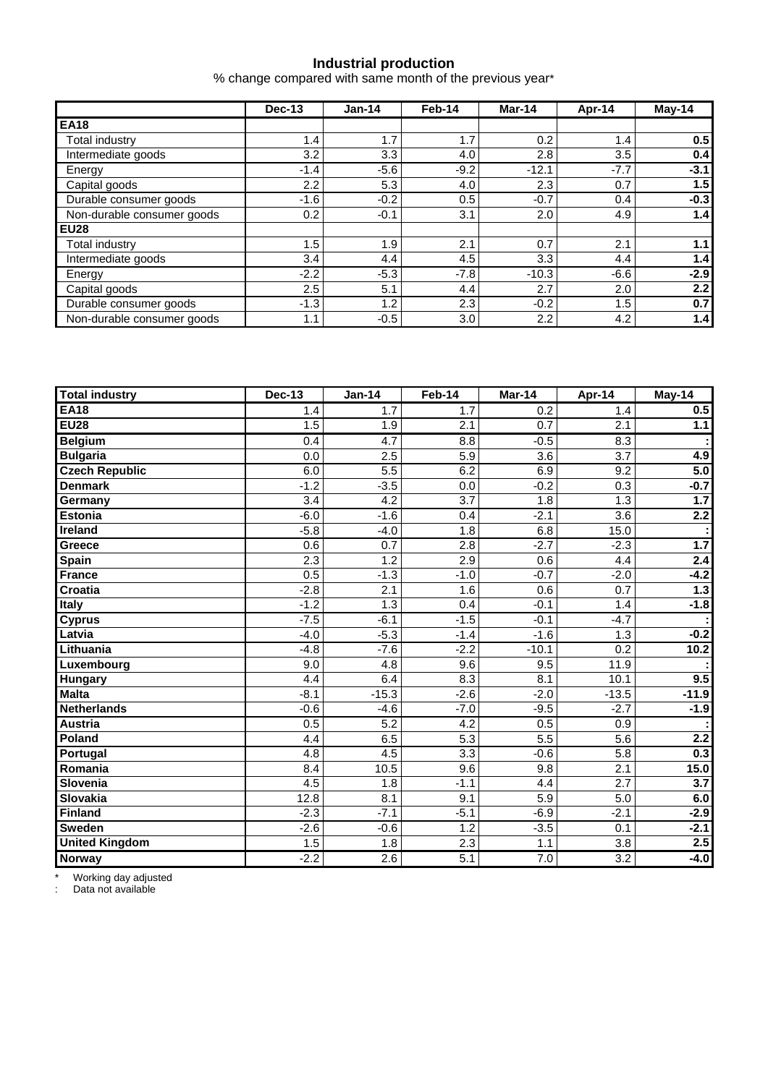## **Industrial production**

% change compared with same month of the previous year\*

|                            | <b>Dec-13</b>    | $Jan-14$ | Feb-14 | Mar-14           | Apr-14 | $Mav-14$         |
|----------------------------|------------------|----------|--------|------------------|--------|------------------|
| <b>EA18</b>                |                  |          |        |                  |        |                  |
| Total industry             | 1.4 <sub>1</sub> | 1.7      | 1.7    | 0.2 <sub>0</sub> | 1.4    | 0.5 <sub>1</sub> |
| Intermediate goods         | 3.2              | 3.3      | 4.0    | 2.8              | 3.5    | 0.4              |
| Energy                     | $-1.4$           | $-5.6$   | $-9.2$ | $-12.1$          | $-7.7$ | $-3.1$           |
| Capital goods              | 2.2              | 5.3      | 4.0    | 2.3              | 0.7    | 1.5              |
| Durable consumer goods     | $-1.6$           | $-0.2$   | 0.5    | $-0.7$           | 0.4    | $-0.3$           |
| Non-durable consumer goods | 0.2              | $-0.1$   | 3.1    | 2.0              | 4.9    | 1.4              |
| <b>EU28</b>                |                  |          |        |                  |        |                  |
| Total industry             | 1.5              | 1.9      | 2.1    | 0.7              | 2.1    | 1.1              |
| Intermediate goods         | 3.4              | 4.4      | 4.5    | 3.3              | 4.4    | 1.4              |
| Energy                     | $-2.2$           | $-5.3$   | $-7.8$ | $-10.3$          | $-6.6$ | $-2.9$           |
| Capital goods              | 2.5              | 5.1      | 4.4    | 2.7              | 2.0    | 2.2              |
| Durable consumer goods     | $-1.3$           | 1.2      | 2.3    | $-0.2$           | 1.5    | 0.7              |
| Non-durable consumer goods | 1.1              | $-0.5$   | 3.0    | $2.2\phantom{0}$ | 4.2    | 1.4              |

| <b>Total industry</b> | <b>Dec-13</b> | <b>Jan-14</b>    | Feb-14           | Mar-14           | Apr-14           | $May-14$         |
|-----------------------|---------------|------------------|------------------|------------------|------------------|------------------|
| <b>EA18</b>           | 1.4           | 1.7              | 1.7              | 0.2              | 1.4              | 0.5              |
| <b>EU28</b>           | 1.5           | 1.9              | 2.1              | 0.7              | 2.1              | $1.1$            |
| <b>Belgium</b>        | 0.4           | $\overline{4.7}$ | 8.8              | $-0.5$           | 8.3              |                  |
| <b>Bulgaria</b>       | 0.0           | 2.5              | 5.9              | $\overline{3.6}$ | $\overline{3.7}$ | 4.9              |
| <b>Czech Republic</b> | 6.0           | 5.5              | 6.2              | 6.9              | 9.2              | 5.0              |
| <b>Denmark</b>        | $-1.2$        | $-3.5$           | 0.0              | $-0.2$           | 0.3              | $-0.7$           |
| Germany               | 3.4           | 4.2              | 3.7              | 1.8              | 1.3              | 1.7              |
| Estonia               | $-6.0$        | $-1.6$           | 0.4              | $-2.1$           | 3.6              | 2.2              |
| <b>Ireland</b>        | $-5.8$        | $-4.0$           | 1.8              | 6.8              | 15.0             |                  |
| Greece                | 0.6           | 0.7              | 2.8              | $-2.7$           | $-2.3$           | 1.7              |
| Spain                 | 2.3           | $\overline{1.2}$ | $\overline{2.9}$ | 0.6              | 4.4              | 2.4              |
| <b>France</b>         | 0.5           | $-1.3$           | $-1.0$           | $-0.7$           | $-2.0$           | $-4.2$           |
| <b>Croatia</b>        | $-2.8$        | 2.1              | 1.6              | 0.6              | 0.7              | 1.3              |
| <b>Italy</b>          | $-1.2$        | 1.3              | 0.4              | $-0.1$           | 1.4              | $-1.8$           |
| <b>Cyprus</b>         | $-7.5$        | $-6.1$           | $-1.5$           | $-0.1$           | $-4.7$           |                  |
| Latvia                | $-4.0$        | $-5.3$           | $-1.4$           | $-1.6$           | 1.3              | $-0.2$           |
| Lithuania             | $-4.8$        | $-7.6$           | $-2.2$           | $-10.1$          | 0.2              | 10.2             |
| Luxembourg            | 9.0           | 4.8              | 9.6              | 9.5              | 11.9             |                  |
| Hungary               | 4.4           | 6.4              | 8.3              | 8.1              | 10.1             | 9.5              |
| <b>Malta</b>          | $-8.1$        | $-15.3$          | $-2.6$           | $-2.0$           | $-13.5$          | $-11.9$          |
| <b>Netherlands</b>    | $-0.6$        | $-4.6$           | $-7.0$           | $-9.5$           | $-2.7$           | $-1.9$           |
| <b>Austria</b>        | 0.5           | 5.2              | 4.2              | 0.5              | 0.9              |                  |
| Poland                | 4.4           | 6.5              | $\overline{5.3}$ | $\overline{5.5}$ | $\overline{5.6}$ | 2.2              |
| Portugal              | 4.8           | 4.5              | 3.3              | $-0.6$           | 5.8              | 0.3              |
| Romania               | 8.4           | 10.5             | 9.6              | 9.8              | 2.1              | 15.0             |
| Slovenia              | 4.5           | $\overline{1.8}$ | $-1.1$           | 4.4              | $\overline{2.7}$ | $\overline{3.7}$ |
| <b>Slovakia</b>       | 12.8          | 8.1              | 9.1              | 5.9              | 5.0              | 6.0              |
| <b>Finland</b>        | $-2.3$        | $-7.1$           | $-5.1$           | $-6.9$           | $-2.1$           | $-2.9$           |
| <b>Sweden</b>         | $-2.6$        | $-0.6$           | 1.2              | $-3.5$           | 0.1              | $-2.1$           |
| <b>United Kingdom</b> | 1.5           | 1.8              | 2.3              | 1.1              | $\overline{3.8}$ | 2.5              |
| Norway                | $-2.2$        | 2.6              | 5.1              | 7.0              | 3.2              | $-4.0$           |

\* Working day adjusted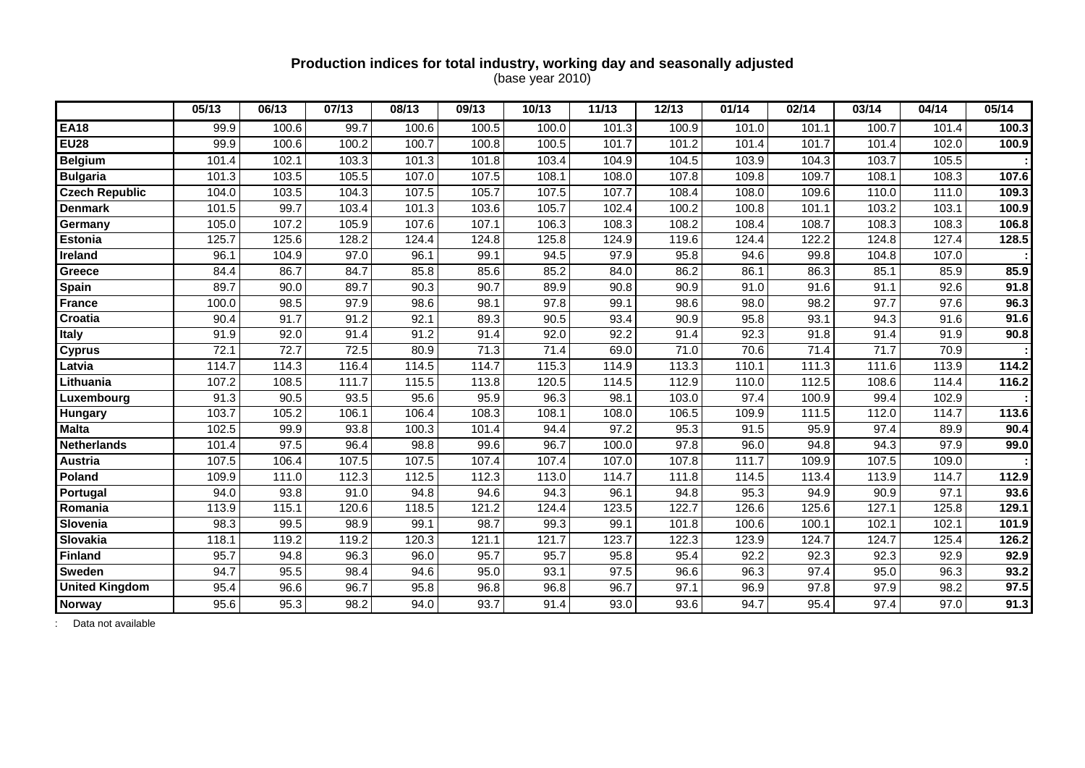### **Production indices for total industry, working day and seasonally adjusted**  (base year 2010)

|                       | 05/13 | 06/13 | 07/13 | 08/13 | 09/13             | 10/13 | 11/13 | 12/13 | 01/14 | 02/14 | 03/14 | 04/14 | 05/14 |
|-----------------------|-------|-------|-------|-------|-------------------|-------|-------|-------|-------|-------|-------|-------|-------|
| <b>EA18</b>           | 99.9  | 100.6 | 99.7  | 100.6 | 100.5             | 100.0 | 101.3 | 100.9 | 101.0 | 101.1 | 100.7 | 101.4 | 100.3 |
| <b>EU28</b>           | 99.9  | 100.6 | 100.2 | 100.7 | 100.8             | 100.5 | 101.7 | 101.2 | 101.4 | 101.7 | 101.4 | 102.0 | 100.9 |
| <b>Belgium</b>        | 101.4 | 102.1 | 103.3 | 101.3 | 101.8             | 103.4 | 104.9 | 104.5 | 103.9 | 104.3 | 103.7 | 105.5 |       |
| <b>Bulgaria</b>       | 101.3 | 103.5 | 105.5 | 107.0 | 107.5             | 108.1 | 108.0 | 107.8 | 109.8 | 109.7 | 108.1 | 108.3 | 107.6 |
| <b>Czech Republic</b> | 104.0 | 103.5 | 104.3 | 107.5 | 105.7             | 107.5 | 107.7 | 108.4 | 108.0 | 109.6 | 110.0 | 111.0 | 109.3 |
| <b>Denmark</b>        | 101.5 | 99.7  | 103.4 | 101.3 | 103.6             | 105.7 | 102.4 | 100.2 | 100.8 | 101.1 | 103.2 | 103.1 | 100.9 |
| Germany               | 105.0 | 107.2 | 105.9 | 107.6 | 107.1             | 106.3 | 108.3 | 108.2 | 108.4 | 108.7 | 108.3 | 108.3 | 106.8 |
| <b>Estonia</b>        | 125.7 | 125.6 | 128.2 | 124.4 | 124.8             | 125.8 | 124.9 | 119.6 | 124.4 | 122.2 | 124.8 | 127.4 | 128.5 |
| Ireland               | 96.1  | 104.9 | 97.0  | 96.1  | 99.1              | 94.5  | 97.9  | 95.8  | 94.6  | 99.8  | 104.8 | 107.0 |       |
| Greece                | 84.4  | 86.7  | 84.7  | 85.8  | 85.6              | 85.2  | 84.0  | 86.2  | 86.1  | 86.3  | 85.1  | 85.9  | 85.9  |
| Spain                 | 89.7  | 90.0  | 89.7  | 90.3  | 90.7              | 89.9  | 90.8  | 90.9  | 91.0  | 91.6  | 91.1  | 92.6  | 91.8  |
| <b>France</b>         | 100.0 | 98.5  | 97.9  | 98.6  | 98.1              | 97.8  | 99.1  | 98.6  | 98.0  | 98.2  | 97.7  | 97.6  | 96.3  |
| Croatia               | 90.4  | 91.7  | 91.2  | 92.1  | 89.3              | 90.5  | 93.4  | 90.9  | 95.8  | 93.1  | 94.3  | 91.6  | 91.6  |
| <b>Italy</b>          | 91.9  | 92.0  | 91.4  | 91.2  | 91.4              | 92.0  | 92.2  | 91.4  | 92.3  | 91.8  | 91.4  | 91.9  | 90.8  |
| <b>Cyprus</b>         | 72.1  | 72.7  | 72.5  | 80.9  | $\overline{7}1.3$ | 71.4  | 69.0  | 71.0  | 70.6  | 71.4  | 71.7  | 70.9  |       |
| Latvia                | 114.7 | 114.3 | 116.4 | 114.5 | 114.7             | 115.3 | 114.9 | 113.3 | 110.1 | 111.3 | 111.6 | 113.9 | 114.2 |
| Lithuania             | 107.2 | 108.5 | 111.7 | 115.5 | 113.8             | 120.5 | 114.5 | 112.9 | 110.0 | 112.5 | 108.6 | 114.4 | 116.2 |
| Luxembourg            | 91.3  | 90.5  | 93.5  | 95.6  | 95.9              | 96.3  | 98.1  | 103.0 | 97.4  | 100.9 | 99.4  | 102.9 |       |
| Hungary               | 103.7 | 105.2 | 106.1 | 106.4 | 108.3             | 108.1 | 108.0 | 106.5 | 109.9 | 111.5 | 112.0 | 114.7 | 113.6 |
| <b>Malta</b>          | 102.5 | 99.9  | 93.8  | 100.3 | 101.4             | 94.4  | 97.2  | 95.3  | 91.5  | 95.9  | 97.4  | 89.9  | 90.4  |
| <b>Netherlands</b>    | 101.4 | 97.5  | 96.4  | 98.8  | 99.6              | 96.7  | 100.0 | 97.8  | 96.0  | 94.8  | 94.3  | 97.9  | 99.0  |
| Austria               | 107.5 | 106.4 | 107.5 | 107.5 | 107.4             | 107.4 | 107.0 | 107.8 | 111.7 | 109.9 | 107.5 | 109.0 |       |
| Poland                | 109.9 | 111.0 | 112.3 | 112.5 | 112.3             | 113.0 | 114.7 | 111.8 | 114.5 | 113.4 | 113.9 | 114.7 | 112.9 |
| Portugal              | 94.0  | 93.8  | 91.0  | 94.8  | 94.6              | 94.3  | 96.1  | 94.8  | 95.3  | 94.9  | 90.9  | 97.1  | 93.6  |
| Romania               | 113.9 | 115.1 | 120.6 | 118.5 | 121.2             | 124.4 | 123.5 | 122.7 | 126.6 | 125.6 | 127.1 | 125.8 | 129.1 |
| Slovenia              | 98.3  | 99.5  | 98.9  | 99.1  | 98.7              | 99.3  | 99.1  | 101.8 | 100.6 | 100.1 | 102.1 | 102.1 | 101.9 |
| Slovakia              | 118.1 | 119.2 | 119.2 | 120.3 | 121.1             | 121.7 | 123.7 | 122.3 | 123.9 | 124.7 | 124.7 | 125.4 | 126.2 |
| <b>Finland</b>        | 95.7  | 94.8  | 96.3  | 96.0  | 95.7              | 95.7  | 95.8  | 95.4  | 92.2  | 92.3  | 92.3  | 92.9  | 92.9  |
| Sweden                | 94.7  | 95.5  | 98.4  | 94.6  | 95.0              | 93.1  | 97.5  | 96.6  | 96.3  | 97.4  | 95.0  | 96.3  | 93.2  |
| <b>United Kingdom</b> | 95.4  | 96.6  | 96.7  | 95.8  | 96.8              | 96.8  | 96.7  | 97.1  | 96.9  | 97.8  | 97.9  | 98.2  | 97.5  |
| <b>Norway</b>         | 95.6  | 95.3  | 98.2  | 94.0  | 93.7              | 91.4  | 93.0  | 93.6  | 94.7  | 95.4  | 97.4  | 97.0  | 91.3  |